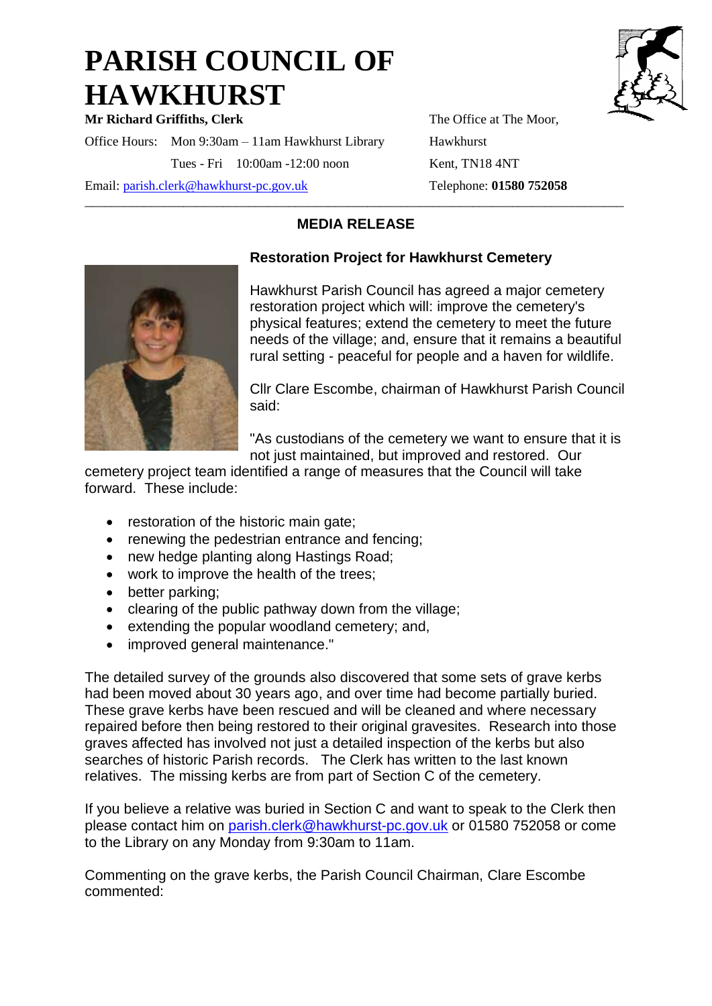## **PARISH COUNCIL OF HAWKHURST**

**Mr Richard Griffiths, Clerk** The Office at The Moor, Office Hours: Mon 9:30am – 11am Hawkhurst Library Hawkhurst Tues - Fri 10:00am -12:00 noon Kent, TN18 4NT

Email: [parish.clerk@hawkhurst-pc.gov.uk](mailto:parish.clerk@hawkhurst-pc.gov.uk) Telephone: **01580 752058** 

## \_\_\_\_\_\_\_\_\_\_\_\_\_\_\_\_\_\_\_\_\_\_\_\_\_\_\_\_\_\_\_\_\_\_\_\_\_\_\_\_\_\_\_\_\_\_\_\_\_\_\_\_\_\_\_\_\_\_\_\_\_\_\_\_\_\_\_\_\_\_\_\_\_\_\_\_\_\_\_\_\_\_ **MEDIA RELEASE**



## **Restoration Project for Hawkhurst Cemetery**

Hawkhurst Parish Council has agreed a major cemetery restoration project which will: improve the cemetery's physical features; extend the cemetery to meet the future needs of the village; and, ensure that it remains a beautiful rural setting - peaceful for people and a haven for wildlife.

Cllr Clare Escombe, chairman of Hawkhurst Parish Council said:

"As custodians of the cemetery we want to ensure that it is not just maintained, but improved and restored. Our

cemetery project team identified a range of measures that the Council will take forward. These include:

- restoration of the historic main gate;
- renewing the pedestrian entrance and fencing;
- new hedge planting along Hastings Road;
- work to improve the health of the trees;
- better parking;
- clearing of the public pathway down from the village;
- extending the popular woodland cemetery; and,
- improved general maintenance."

The detailed survey of the grounds also discovered that some sets of grave kerbs had been moved about 30 years ago, and over time had become partially buried. These grave kerbs have been rescued and will be cleaned and where necessary repaired before then being restored to their original gravesites. Research into those graves affected has involved not just a detailed inspection of the kerbs but also searches of historic Parish records. The Clerk has written to the last known relatives. The missing kerbs are from part of Section C of the cemetery.

If you believe a relative was buried in Section C and want to speak to the Clerk then please contact him on [parish.clerk@hawkhurst-pc.gov.uk](mailto:parish.clerk@hawkhurst-pc.gov.uk) or 01580 752058 or come to the Library on any Monday from 9:30am to 11am.

Commenting on the grave kerbs, the Parish Council Chairman, Clare Escombe commented: